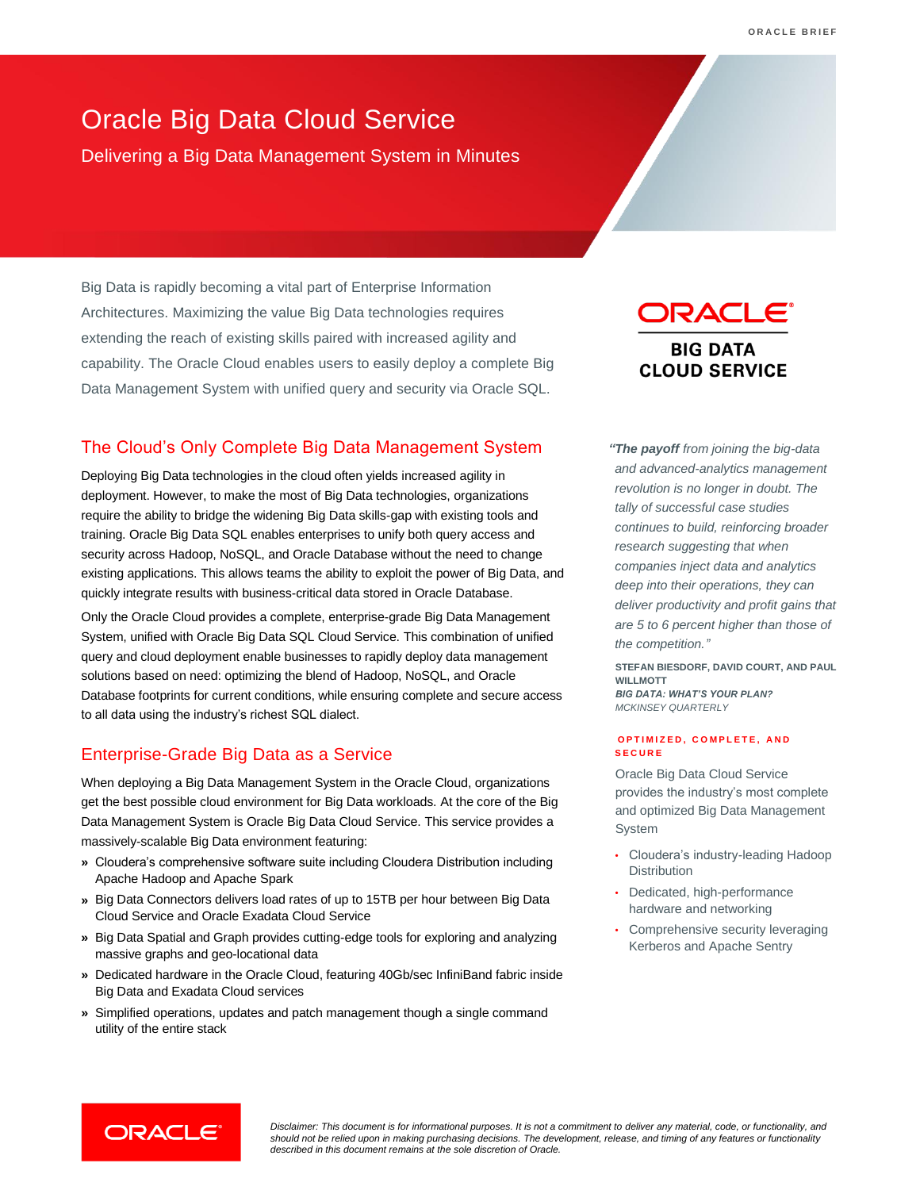## Oracle Big Data Cloud Service

Delivering a Big Data Management System in Minutes

Big Data is rapidly becoming a vital part of Enterprise Information Architectures. Maximizing the value Big Data technologies requires extending the reach of existing skills paired with increased agility and capability. The Oracle Cloud enables users to easily deploy a complete Big Data Management System with unified query and security via Oracle SQL.

## The Cloud's Only Complete Big Data Management System

Deploying Big Data technologies in the cloud often yields increased agility in deployment. However, to make the most of Big Data technologies, organizations require the ability to bridge the widening Big Data skills-gap with existing tools and training. Oracle Big Data SQL enables enterprises to unify both query access and security across Hadoop, NoSQL, and Oracle Database without the need to change existing applications. This allows teams the ability to exploit the power of Big Data, and quickly integrate results with business-critical data stored in Oracle Database.

Only the Oracle Cloud provides a complete, enterprise-grade Big Data Management System, unified with Oracle Big Data SQL Cloud Service. This combination of unified query and cloud deployment enable businesses to rapidly deploy data management solutions based on need: optimizing the blend of Hadoop, NoSQL, and Oracle Database footprints for current conditions, while ensuring complete and secure access to all data using the industry's richest SQL dialect.

## Enterprise-Grade Big Data as a Service

When deploying a Big Data Management System in the Oracle Cloud, organizations get the best possible cloud environment for Big Data workloads. At the core of the Big Data Management System is Oracle Big Data Cloud Service. This service provides a massively-scalable Big Data environment featuring:

- **»** Cloudera's comprehensive software suite including Cloudera Distribution including Apache Hadoop and Apache Spark
- **»** Big Data Connectors delivers load rates of up to 15TB per hour between Big Data Cloud Service and Oracle Exadata Cloud Service
- **»** Big Data Spatial and Graph provides cutting-edge tools for exploring and analyzing massive graphs and geo-locational data
- **»** Dedicated hardware in the Oracle Cloud, featuring 40Gb/sec InfiniBand fabric inside Big Data and Exadata Cloud services
- **»** Simplified operations, updates and patch management though a single command utility of the entire stack

# DRACLE

**BIG DATA CLOUD SERVICE** 

*"The payoff from joining the big-data and advanced-analytics management revolution is no longer in doubt. The tally of successful case studies continues to build, reinforcing broader research suggesting that when companies inject data and analytics deep into their operations, they can deliver productivity and profit gains that are 5 to 6 percent higher than those of the competition."*

**STEFAN BIESDORF, DAVID COURT, AND PAUL WILLMOTT** *BIG DATA: WHAT'S YOUR PLAN? MCKINSEY QUARTERLY*

#### **O P T I M I Z E D , C O M P L E T E , A N D S E C U R E**

Oracle Big Data Cloud Service provides the industry's most complete and optimized Big Data Management **System** 

- Cloudera's industry-leading Hadoop **Distribution**
- Dedicated, high-performance hardware and networking
- Comprehensive security leveraging Kerberos and Apache Sentry